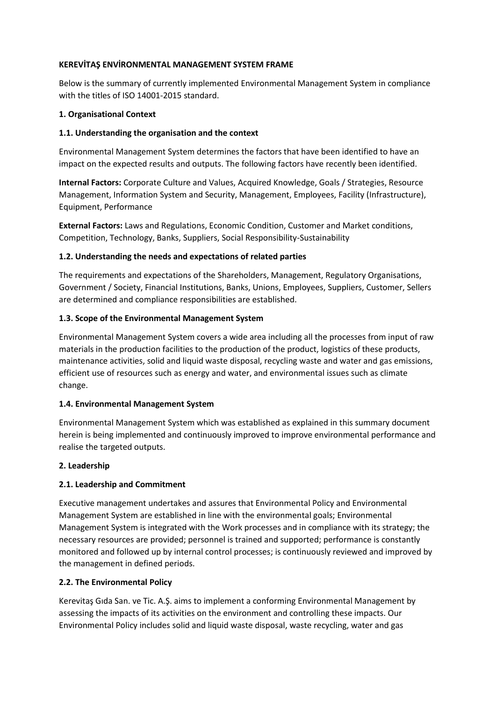# **KEREVİTAŞ ENVİRONMENTAL MANAGEMENT SYSTEM FRAME**

Below is the summary of currently implemented Environmental Management System in compliance with the titles of ISO 14001-2015 standard.

## **1. Organisational Context**

### **1.1. Understanding the organisation and the context**

Environmental Management System determines the factors that have been identified to have an impact on the expected results and outputs. The following factors have recently been identified.

**Internal Factors:** Corporate Culture and Values, Acquired Knowledge, Goals / Strategies, Resource Management, Information System and Security, Management, Employees, Facility (Infrastructure), Equipment, Performance

**External Factors:** Laws and Regulations, Economic Condition, Customer and Market conditions, Competition, Technology, Banks, Suppliers, Social Responsibility-Sustainability

### **1.2. Understanding the needs and expectations of related parties**

The requirements and expectations of the Shareholders, Management, Regulatory Organisations, Government / Society, Financial Institutions, Banks, Unions, Employees, Suppliers, Customer, Sellers are determined and compliance responsibilities are established.

### **1.3. Scope of the Environmental Management System**

Environmental Management System covers a wide area including all the processes from input of raw materials in the production facilities to the production of the product, logistics of these products, maintenance activities, solid and liquid waste disposal, recycling waste and water and gas emissions, efficient use of resources such as energy and water, and environmental issues such as climate change.

#### **1.4. Environmental Management System**

Environmental Management System which was established as explained in this summary document herein is being implemented and continuously improved to improve environmental performance and realise the targeted outputs.

#### **2. Leadership**

# **2.1. Leadership and Commitment**

Executive management undertakes and assures that Environmental Policy and Environmental Management System are established in line with the environmental goals; Environmental Management System is integrated with the Work processes and in compliance with its strategy; the necessary resources are provided; personnel is trained and supported; performance is constantly monitored and followed up by internal control processes; is continuously reviewed and improved by the management in defined periods.

# **2.2. The Environmental Policy**

Kerevitaş Gıda San. ve Tic. A.Ş. aims to implement a conforming Environmental Management by assessing the impacts of its activities on the environment and controlling these impacts. Our Environmental Policy includes solid and liquid waste disposal, waste recycling, water and gas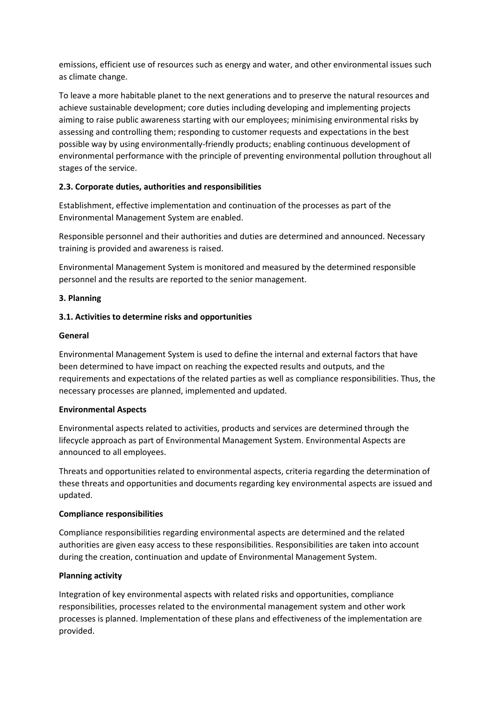emissions, efficient use of resources such as energy and water, and other environmental issues such as climate change.

To leave a more habitable planet to the next generations and to preserve the natural resources and achieve sustainable development; core duties including developing and implementing projects aiming to raise public awareness starting with our employees; minimising environmental risks by assessing and controlling them; responding to customer requests and expectations in the best possible way by using environmentally-friendly products; enabling continuous development of environmental performance with the principle of preventing environmental pollution throughout all stages of the service.

# **2.3. Corporate duties, authorities and responsibilities**

Establishment, effective implementation and continuation of the processes as part of the Environmental Management System are enabled.

Responsible personnel and their authorities and duties are determined and announced. Necessary training is provided and awareness is raised.

Environmental Management System is monitored and measured by the determined responsible personnel and the results are reported to the senior management.

#### **3. Planning**

### **3.1. Activities to determine risks and opportunities**

#### **General**

Environmental Management System is used to define the internal and external factors that have been determined to have impact on reaching the expected results and outputs, and the requirements and expectations of the related parties as well as compliance responsibilities. Thus, the necessary processes are planned, implemented and updated.

#### **Environmental Aspects**

Environmental aspects related to activities, products and services are determined through the lifecycle approach as part of Environmental Management System. Environmental Aspects are announced to all employees.

Threats and opportunities related to environmental aspects, criteria regarding the determination of these threats and opportunities and documents regarding key environmental aspects are issued and updated.

#### **Compliance responsibilities**

Compliance responsibilities regarding environmental aspects are determined and the related authorities are given easy access to these responsibilities. Responsibilities are taken into account during the creation, continuation and update of Environmental Management System.

#### **Planning activity**

Integration of key environmental aspects with related risks and opportunities, compliance responsibilities, processes related to the environmental management system and other work processes is planned. Implementation of these plans and effectiveness of the implementation are provided.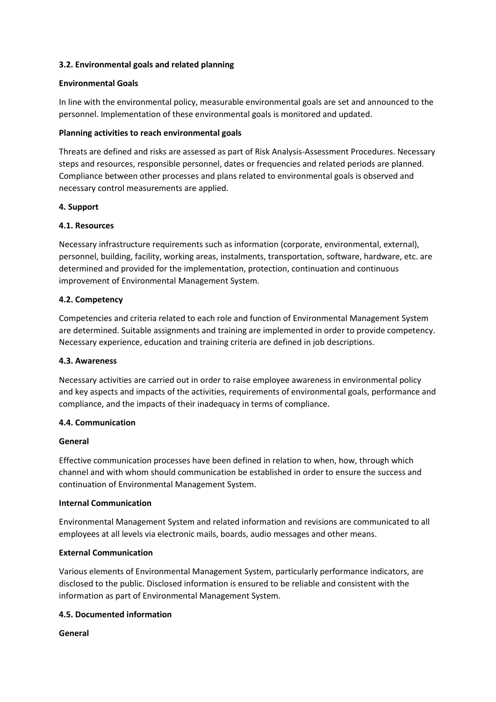### **3.2. Environmental goals and related planning**

#### **Environmental Goals**

In line with the environmental policy, measurable environmental goals are set and announced to the personnel. Implementation of these environmental goals is monitored and updated.

## **Planning activities to reach environmental goals**

Threats are defined and risks are assessed as part of Risk Analysis-Assessment Procedures. Necessary steps and resources, responsible personnel, dates or frequencies and related periods are planned. Compliance between other processes and plans related to environmental goals is observed and necessary control measurements are applied.

### **4. Support**

### **4.1. Resources**

Necessary infrastructure requirements such as information (corporate, environmental, external), personnel, building, facility, working areas, instalments, transportation, software, hardware, etc. are determined and provided for the implementation, protection, continuation and continuous improvement of Environmental Management System.

### **4.2. Competency**

Competencies and criteria related to each role and function of Environmental Management System are determined. Suitable assignments and training are implemented in order to provide competency. Necessary experience, education and training criteria are defined in job descriptions.

#### **4.3. Awareness**

Necessary activities are carried out in order to raise employee awareness in environmental policy and key aspects and impacts of the activities, requirements of environmental goals, performance and compliance, and the impacts of their inadequacy in terms of compliance.

#### **4.4. Communication**

#### **General**

Effective communication processes have been defined in relation to when, how, through which channel and with whom should communication be established in order to ensure the success and continuation of Environmental Management System.

#### **Internal Communication**

Environmental Management System and related information and revisions are communicated to all employees at all levels via electronic mails, boards, audio messages and other means.

#### **External Communication**

Various elements of Environmental Management System, particularly performance indicators, are disclosed to the public. Disclosed information is ensured to be reliable and consistent with the information as part of Environmental Management System.

#### **4.5. Documented information**

**General**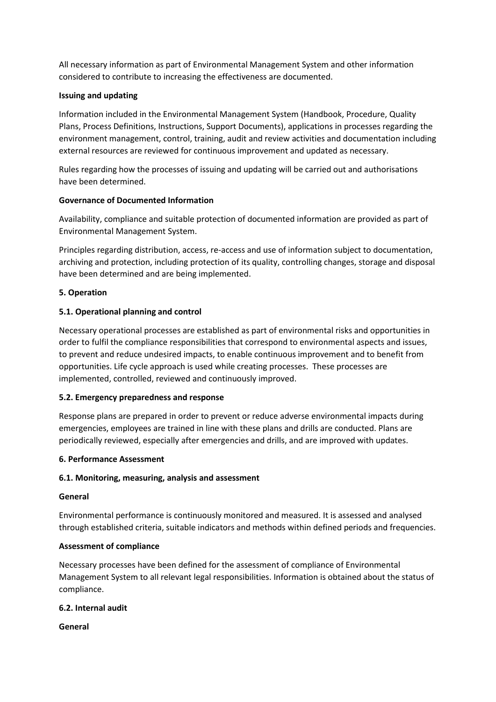All necessary information as part of Environmental Management System and other information considered to contribute to increasing the effectiveness are documented.

### **Issuing and updating**

Information included in the Environmental Management System (Handbook, Procedure, Quality Plans, Process Definitions, Instructions, Support Documents), applications in processes regarding the environment management, control, training, audit and review activities and documentation including external resources are reviewed for continuous improvement and updated as necessary.

Rules regarding how the processes of issuing and updating will be carried out and authorisations have been determined.

### **Governance of Documented Information**

Availability, compliance and suitable protection of documented information are provided as part of Environmental Management System.

Principles regarding distribution, access, re-access and use of information subject to documentation, archiving and protection, including protection of its quality, controlling changes, storage and disposal have been determined and are being implemented.

### **5. Operation**

# **5.1. Operational planning and control**

Necessary operational processes are established as part of environmental risks and opportunities in order to fulfil the compliance responsibilities that correspond to environmental aspects and issues, to prevent and reduce undesired impacts, to enable continuous improvement and to benefit from opportunities. Life cycle approach is used while creating processes. These processes are implemented, controlled, reviewed and continuously improved.

#### **5.2. Emergency preparedness and response**

Response plans are prepared in order to prevent or reduce adverse environmental impacts during emergencies, employees are trained in line with these plans and drills are conducted. Plans are periodically reviewed, especially after emergencies and drills, and are improved with updates.

#### **6. Performance Assessment**

#### **6.1. Monitoring, measuring, analysis and assessment**

#### **General**

Environmental performance is continuously monitored and measured. It is assessed and analysed through established criteria, suitable indicators and methods within defined periods and frequencies.

#### **Assessment of compliance**

Necessary processes have been defined for the assessment of compliance of Environmental Management System to all relevant legal responsibilities. Information is obtained about the status of compliance.

#### **6.2. Internal audit**

**General**